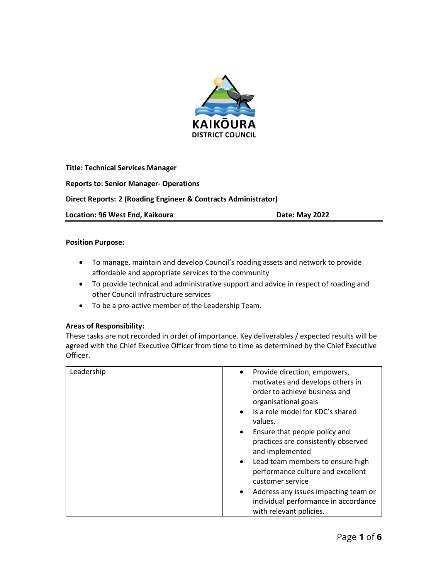

**Title: Technical Services Manager Reports to: Senior Manager- Operations Direct Reports: 2 (Roading Engineer & Contracts Administrator)** Location: 96 West End, Kaikoura **Date: May 2022** 

### **Position Purpose:**

- To manage, maintain and develop Council's roading assets and network to provide affordable and appropriate services to the community
- To provide technical and administrative support and advice in respect of roading and other Council infrastructure services
- To be a pro-active member of the Leadership Team.

### **Areas of Responsibility:**

These tasks are not recorded in order of importance. Key deliverables / expected results will be agreed with the Chief Executive Officer from time to time as determined by the Chief Executive Officer.

| Leadership | Provide direction, empowers,<br>$\bullet$<br>motivates and develops others in<br>order to achieve business and<br>organisational goals<br>Is a role model for KDC's shared<br>$\bullet$<br>values.<br>Ensure that people policy and<br>$\bullet$<br>practices are consistently observed<br>and implemented<br>Lead team members to ensure high<br>$\bullet$<br>performance culture and excellent<br>customer service<br>Address any issues impacting team or<br>$\bullet$ |
|------------|---------------------------------------------------------------------------------------------------------------------------------------------------------------------------------------------------------------------------------------------------------------------------------------------------------------------------------------------------------------------------------------------------------------------------------------------------------------------------|
|            | individual performance in accordance<br>with relevant policies.                                                                                                                                                                                                                                                                                                                                                                                                           |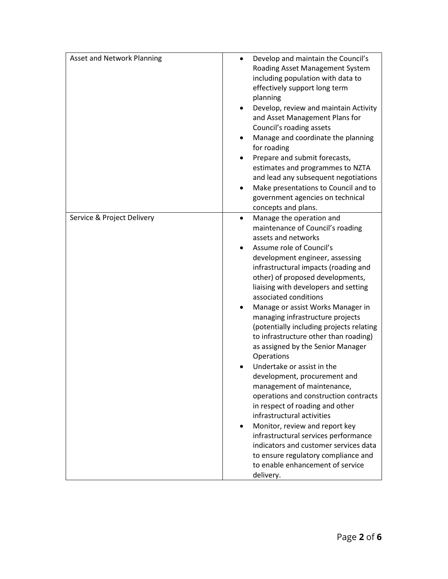| <b>Asset and Network Planning</b> | Develop and maintain the Council's<br>$\bullet$<br>Roading Asset Management System<br>including population with data to<br>effectively support long term<br>planning<br>Develop, review and maintain Activity<br>and Asset Management Plans for<br>Council's roading assets<br>Manage and coordinate the planning<br>٠<br>for roading<br>Prepare and submit forecasts,<br>estimates and programmes to NZTA<br>and lead any subsequent negotiations<br>Make presentations to Council and to<br>government agencies on technical<br>concepts and plans.                                                                                                                                                                                                                                                                                                                                                                                          |
|-----------------------------------|------------------------------------------------------------------------------------------------------------------------------------------------------------------------------------------------------------------------------------------------------------------------------------------------------------------------------------------------------------------------------------------------------------------------------------------------------------------------------------------------------------------------------------------------------------------------------------------------------------------------------------------------------------------------------------------------------------------------------------------------------------------------------------------------------------------------------------------------------------------------------------------------------------------------------------------------|
| Service & Project Delivery        | Manage the operation and<br>$\bullet$<br>maintenance of Council's roading<br>assets and networks<br>Assume role of Council's<br>development engineer, assessing<br>infrastructural impacts (roading and<br>other) of proposed developments,<br>liaising with developers and setting<br>associated conditions<br>Manage or assist Works Manager in<br>managing infrastructure projects<br>(potentially including projects relating<br>to infrastructure other than roading)<br>as assigned by the Senior Manager<br>Operations<br>Undertake or assist in the<br>development, procurement and<br>management of maintenance,<br>operations and construction contracts<br>in respect of roading and other<br>infrastructural activities<br>Monitor, review and report key<br>infrastructural services performance<br>indicators and customer services data<br>to ensure regulatory compliance and<br>to enable enhancement of service<br>delivery. |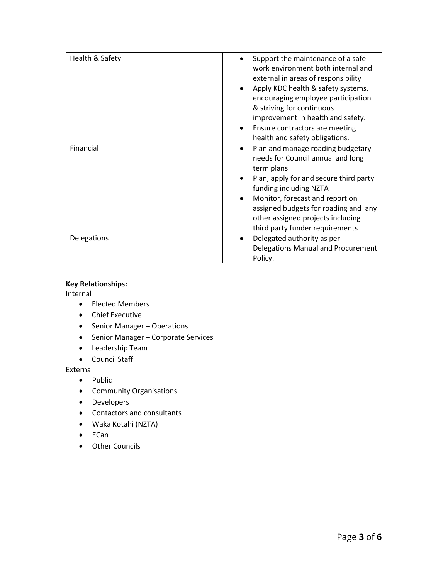| Health & Safety    | Support the maintenance of a safe              |
|--------------------|------------------------------------------------|
|                    |                                                |
|                    | work environment both internal and             |
|                    | external in areas of responsibility            |
|                    | Apply KDC health & safety systems,             |
|                    | encouraging employee participation             |
|                    | & striving for continuous                      |
|                    | improvement in health and safety.              |
|                    | Ensure contractors are meeting                 |
|                    | health and safety obligations.                 |
| Financial          | Plan and manage roading budgetary<br>$\bullet$ |
|                    | needs for Council annual and long              |
|                    | term plans                                     |
|                    | Plan, apply for and secure third party         |
|                    | funding including NZTA                         |
|                    | Monitor, forecast and report on                |
|                    | assigned budgets for roading and any           |
|                    | other assigned projects including              |
|                    | third party funder requirements                |
| <b>Delegations</b> | Delegated authority as per                     |
|                    | Delegations Manual and Procurement             |
|                    |                                                |
|                    | Policy.                                        |

### **Key Relationships:**

Internal

- Elected Members
- Chief Executive
- Senior Manager Operations
- Senior Manager Corporate Services
- Leadership Team
- Council Staff

External

- Public
- Community Organisations
- Developers
- Contactors and consultants
- Waka Kotahi (NZTA)
- ECan
- Other Councils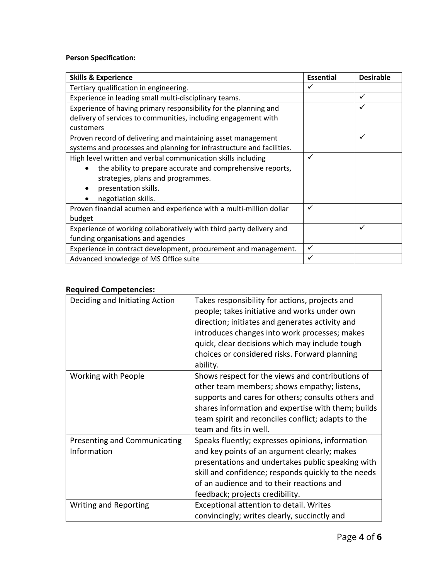# **Person Specification:**

| <b>Skills &amp; Experience</b>                                        | <b>Essential</b> | <b>Desirable</b> |
|-----------------------------------------------------------------------|------------------|------------------|
| Tertiary qualification in engineering.                                | ✓                |                  |
| Experience in leading small multi-disciplinary teams.                 |                  | ✓                |
| Experience of having primary responsibility for the planning and      |                  | ✓                |
| delivery of services to communities, including engagement with        |                  |                  |
| customers                                                             |                  |                  |
| Proven record of delivering and maintaining asset management<br>✓     |                  |                  |
| systems and processes and planning for infrastructure and facilities. |                  |                  |
| High level written and verbal communication skills including          | ✓                |                  |
| the ability to prepare accurate and comprehensive reports,            |                  |                  |
| strategies, plans and programmes.                                     |                  |                  |
| presentation skills.                                                  |                  |                  |
| negotiation skills.                                                   |                  |                  |
| Proven financial acumen and experience with a multi-million dollar    | ✓                |                  |
| budget                                                                |                  |                  |
| Experience of working collaboratively with third party delivery and   |                  | $\checkmark$     |
| funding organisations and agencies                                    |                  |                  |
| Experience in contract development, procurement and management.       | $\checkmark$     |                  |
| Advanced knowledge of MS Office suite                                 | ✓                |                  |

## **Required Competencies:**

| Deciding and Initiating Action              | Takes responsibility for actions, projects and<br>people; takes initiative and works under own<br>direction; initiates and generates activity and<br>introduces changes into work processes; makes<br>quick, clear decisions which may include tough<br>choices or considered risks. Forward planning<br>ability. |
|---------------------------------------------|-------------------------------------------------------------------------------------------------------------------------------------------------------------------------------------------------------------------------------------------------------------------------------------------------------------------|
| Working with People                         | Shows respect for the views and contributions of<br>other team members; shows empathy; listens,<br>supports and cares for others; consults others and<br>shares information and expertise with them; builds<br>team spirit and reconciles conflict; adapts to the<br>team and fits in well.                       |
| Presenting and Communicating<br>Information | Speaks fluently; expresses opinions, information<br>and key points of an argument clearly; makes<br>presentations and undertakes public speaking with<br>skill and confidence; responds quickly to the needs<br>of an audience and to their reactions and<br>feedback; projects credibility.                      |
| <b>Writing and Reporting</b>                | Exceptional attention to detail. Writes<br>convincingly; writes clearly, succinctly and                                                                                                                                                                                                                           |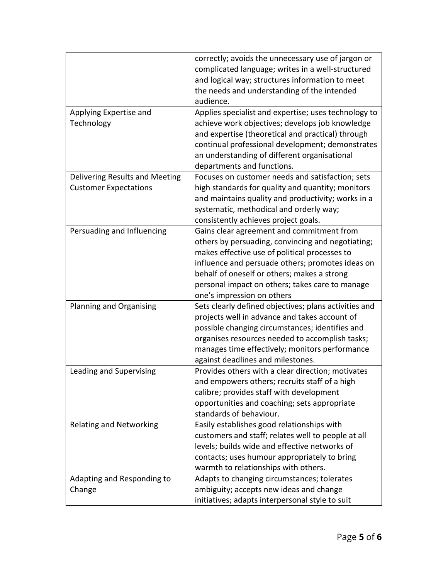|                                                                | correctly; avoids the unnecessary use of jargon or<br>complicated language; writes in a well-structured<br>and logical way; structures information to meet<br>the needs and understanding of the intended                                                                                                                           |
|----------------------------------------------------------------|-------------------------------------------------------------------------------------------------------------------------------------------------------------------------------------------------------------------------------------------------------------------------------------------------------------------------------------|
|                                                                | audience.                                                                                                                                                                                                                                                                                                                           |
| Applying Expertise and<br>Technology                           | Applies specialist and expertise; uses technology to<br>achieve work objectives; develops job knowledge<br>and expertise (theoretical and practical) through<br>continual professional development; demonstrates<br>an understanding of different organisational<br>departments and functions.                                      |
| Delivering Results and Meeting<br><b>Customer Expectations</b> | Focuses on customer needs and satisfaction; sets<br>high standards for quality and quantity; monitors<br>and maintains quality and productivity; works in a<br>systematic, methodical and orderly way;<br>consistently achieves project goals.                                                                                      |
| Persuading and Influencing                                     | Gains clear agreement and commitment from<br>others by persuading, convincing and negotiating;<br>makes effective use of political processes to<br>influence and persuade others; promotes ideas on<br>behalf of oneself or others; makes a strong<br>personal impact on others; takes care to manage<br>one's impression on others |
| Planning and Organising                                        | Sets clearly defined objectives; plans activities and<br>projects well in advance and takes account of<br>possible changing circumstances; identifies and<br>organises resources needed to accomplish tasks;<br>manages time effectively; monitors performance<br>against deadlines and milestones.                                 |
| Leading and Supervising                                        | Provides others with a clear direction; motivates<br>and empowers others; recruits staff of a high<br>calibre; provides staff with development<br>opportunities and coaching; sets appropriate<br>standards of behaviour.                                                                                                           |
| <b>Relating and Networking</b>                                 | Easily establishes good relationships with<br>customers and staff; relates well to people at all<br>levels; builds wide and effective networks of<br>contacts; uses humour appropriately to bring<br>warmth to relationships with others.                                                                                           |
| Adapting and Responding to<br>Change                           | Adapts to changing circumstances; tolerates<br>ambiguity; accepts new ideas and change<br>initiatives; adapts interpersonal style to suit                                                                                                                                                                                           |